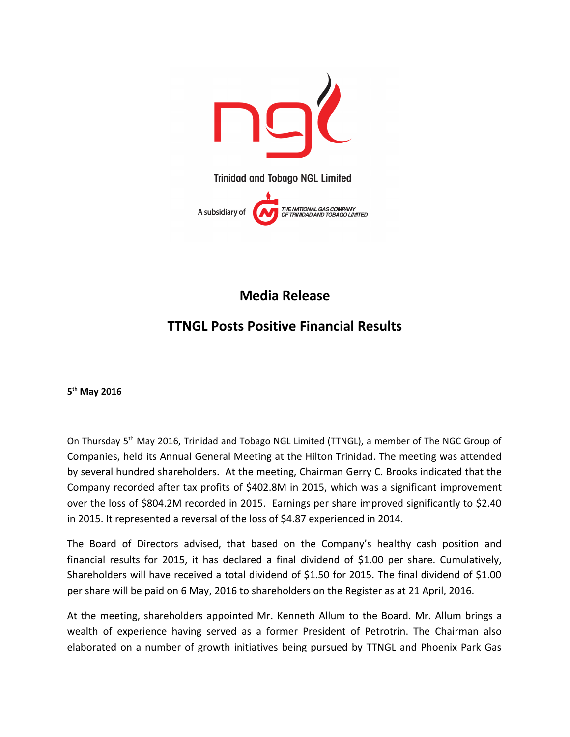

**Media Release**

## **TTNGL Posts Positive Financial Results**

**5 th May 2016**

On Thursday 5<sup>th</sup> May 2016, Trinidad and Tobago NGL Limited (TTNGL), a member of The NGC Group of Companies, held its Annual General Meeting at the Hilton Trinidad. The meeting was attended by several hundred shareholders. At the meeting, Chairman Gerry C. Brooks indicated that the Company recorded after tax profits of \$402.8M in 2015, which was a significant improvement over the loss of \$804.2M recorded in 2015. Earnings per share improved significantly to \$2.40 in 2015. It represented a reversal of the loss of \$4.87 experienced in 2014.

The Board of Directors advised, that based on the Company's healthy cash position and financial results for 2015, it has declared a final dividend of \$1.00 per share. Cumulatively, Shareholders will have received a total dividend of \$1.50 for 2015. The final dividend of \$1.00 per share will be paid on 6 May, 2016 to shareholders on the Register as at 21 April, 2016.

At the meeting, shareholders appointed Mr. Kenneth Allum to the Board. Mr. Allum brings a wealth of experience having served as a former President of Petrotrin. The Chairman also elaborated on a number of growth initiatives being pursued by TTNGL and Phoenix Park Gas